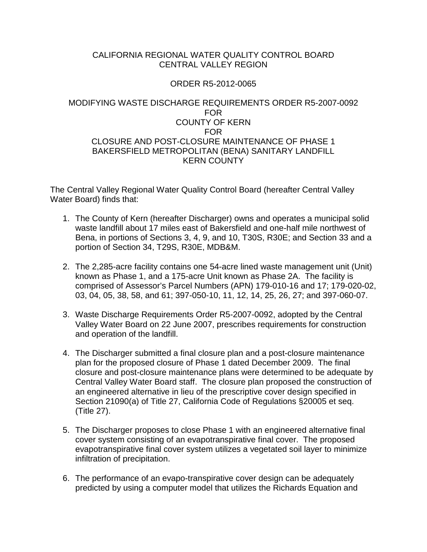### CALIFORNIA REGIONAL WATER QUALITY CONTROL BOARD CENTRAL VALLEY REGION

### ORDER R5-2012-0065

### MODIFYING WASTE DISCHARGE REQUIREMENTS ORDER R5-2007-0092 FOR COUNTY OF KERN FOR CLOSURE AND POST-CLOSURE MAINTENANCE OF PHASE 1 BAKERSFIELD METROPOLITAN (BENA) SANITARY LANDFILL KERN COUNTY

The Central Valley Regional Water Quality Control Board (hereafter Central Valley Water Board) finds that:

- 1. The County of Kern (hereafter Discharger) owns and operates a municipal solid waste landfill about 17 miles east of Bakersfield and one-half mile northwest of Bena, in portions of Sections 3, 4, 9, and 10, T30S, R30E; and Section 33 and a portion of Section 34, T29S, R30E, MDB&M.
- 2. The 2,285-acre facility contains one 54-acre lined waste management unit (Unit) known as Phase 1, and a 175-acre Unit known as Phase 2A. The facility is comprised of Assessor's Parcel Numbers (APN) 179-010-16 and 17; 179-020-02, 03, 04, 05, 38, 58, and 61; 397-050-10, 11, 12, 14, 25, 26, 27; and 397-060-07.
- 3. Waste Discharge Requirements Order R5-2007-0092, adopted by the Central Valley Water Board on 22 June 2007, prescribes requirements for construction and operation of the landfill.
- 4. The Discharger submitted a final closure plan and a post-closure maintenance plan for the proposed closure of Phase 1 dated December 2009. The final closure and post-closure maintenance plans were determined to be adequate by Central Valley Water Board staff. The closure plan proposed the construction of an engineered alternative in lieu of the prescriptive cover design specified in Section 21090(a) of Title 27, California Code of Regulations §20005 et seq. (Title 27).
- 5. The Discharger proposes to close Phase 1 with an engineered alternative final cover system consisting of an evapotranspirative final cover. The proposed evapotranspirative final cover system utilizes a vegetated soil layer to minimize infiltration of precipitation.
- 6. The performance of an evapo-transpirative cover design can be adequately predicted by using a computer model that utilizes the Richards Equation and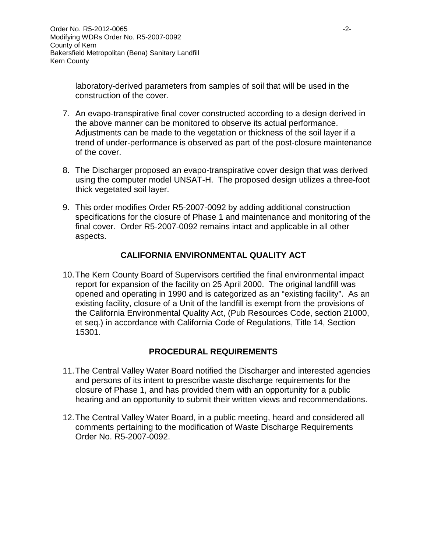laboratory-derived parameters from samples of soil that will be used in the construction of the cover.

- 7. An evapo-transpirative final cover constructed according to a design derived in the above manner can be monitored to observe its actual performance. Adjustments can be made to the vegetation or thickness of the soil layer if a trend of under-performance is observed as part of the post-closure maintenance of the cover.
- 8. The Discharger proposed an evapo-transpirative cover design that was derived using the computer model UNSAT-H. The proposed design utilizes a three-foot thick vegetated soil layer.
- 9. This order modifies Order R5-2007-0092 by adding additional construction specifications for the closure of Phase 1 and maintenance and monitoring of the final cover. Order R5-2007-0092 remains intact and applicable in all other aspects.

## **CALIFORNIA ENVIRONMENTAL QUALITY ACT**

10.The Kern County Board of Supervisors certified the final environmental impact report for expansion of the facility on 25 April 2000. The original landfill was opened and operating in 1990 and is categorized as an "existing facility". As an existing facility, closure of a Unit of the landfill is exempt from the provisions of the California Environmental Quality Act, (Pub Resources Code, section 21000, et seq.) in accordance with California Code of Regulations, Title 14, Section 15301.

# **PROCEDURAL REQUIREMENTS**

- 11.The Central Valley Water Board notified the Discharger and interested agencies and persons of its intent to prescribe waste discharge requirements for the closure of Phase 1, and has provided them with an opportunity for a public hearing and an opportunity to submit their written views and recommendations.
- 12.The Central Valley Water Board, in a public meeting, heard and considered all comments pertaining to the modification of Waste Discharge Requirements Order No. R5-2007-0092.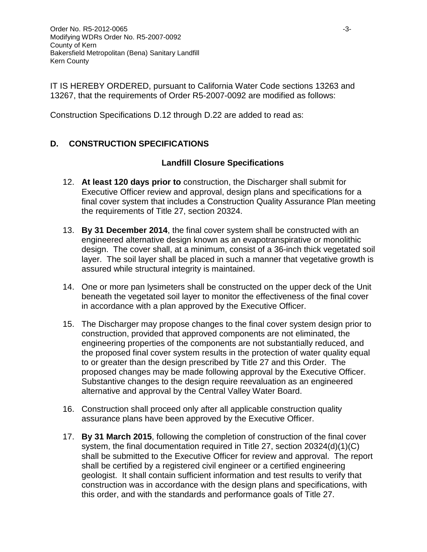IT IS HEREBY ORDERED, pursuant to California Water Code sections 13263 and 13267, that the requirements of Order R5-2007-0092 are modified as follows:

Construction Specifications D.12 through D.22 are added to read as:

# **D. CONSTRUCTION SPECIFICATIONS**

## **Landfill Closure Specifications**

- 12. **At least 120 days prior to** construction, the Discharger shall submit for Executive Officer review and approval, design plans and specifications for a final cover system that includes a Construction Quality Assurance Plan meeting the requirements of Title 27, section 20324.
- 13. **By 31 December 2014**, the final cover system shall be constructed with an engineered alternative design known as an evapotranspirative or monolithic design. The cover shall, at a minimum, consist of a 36-inch thick vegetated soil layer. The soil layer shall be placed in such a manner that vegetative growth is assured while structural integrity is maintained.
- 14. One or more pan lysimeters shall be constructed on the upper deck of the Unit beneath the vegetated soil layer to monitor the effectiveness of the final cover in accordance with a plan approved by the Executive Officer.
- 15. The Discharger may propose changes to the final cover system design prior to construction, provided that approved components are not eliminated, the engineering properties of the components are not substantially reduced, and the proposed final cover system results in the protection of water quality equal to or greater than the design prescribed by Title 27 and this Order. The proposed changes may be made following approval by the Executive Officer. Substantive changes to the design require reevaluation as an engineered alternative and approval by the Central Valley Water Board.
- 16. Construction shall proceed only after all applicable construction quality assurance plans have been approved by the Executive Officer.
- 17. **By 31 March 2015**, following the completion of construction of the final cover system, the final documentation required in Title 27, section 20324(d)(1)(C) shall be submitted to the Executive Officer for review and approval. The report shall be certified by a registered civil engineer or a certified engineering geologist. It shall contain sufficient information and test results to verify that construction was in accordance with the design plans and specifications, with this order, and with the standards and performance goals of Title 27.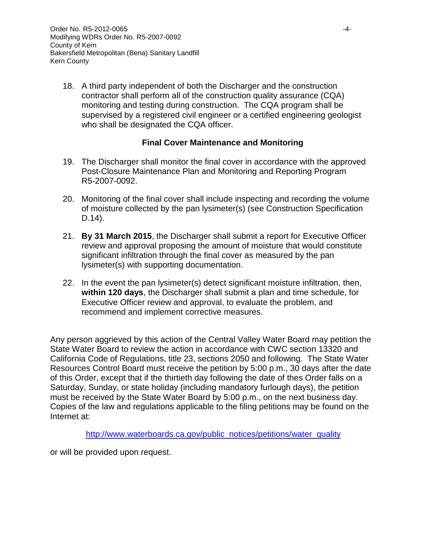18. A third party independent of both the Discharger and the construction contractor shall perform all of the construction quality assurance (CQA) monitoring and testing during construction. The CQA program shall be supervised by a registered civil engineer or a certified engineering geologist who shall be designated the CQA officer.

### **Final Cover Maintenance and Monitoring**

- 19. The Discharger shall monitor the final cover in accordance with the approved Post-Closure Maintenance Plan and Monitoring and Reporting Program R5-2007-0092.
- 20. Monitoring of the final cover shall include inspecting and recording the volume of moisture collected by the pan lysimeter(s) (see Construction Specification D.14).
- 21. **By 31 March 2015**, the Discharger shall submit a report for Executive Officer review and approval proposing the amount of moisture that would constitute significant infiltration through the final cover as measured by the pan lysimeter(s) with supporting documentation.
- 22. In the event the pan lysimeter(s) detect significant moisture infiltration, then, **within 120 days**, the Discharger shall submit a plan and time schedule, for Executive Officer review and approval, to evaluate the problem, and recommend and implement corrective measures.

Any person aggrieved by this action of the Central Valley Water Board may petition the State Water Board to review the action in accordance with CWC section 13320 and California Code of Regulations, title 23, sections 2050 and following. The State Water Resources Control Board must receive the petition by 5:00 p.m., 30 days after the date of this Order, except that if the thirtieth day following the date of thes Order falls on a Saturday, Sunday, or state holiday (including mandatory furlough days), the petition must be received by the State Water Board by 5:00 p.m., on the next business day. Copies of the law and regulations applicable to the filing petitions may be found on the Internet at:

[http://www.waterboards.ca.gov/public\\_notices/petitions/water\\_quality](http://www.waterboards.ca.gov/public_notices/petitions/water_quality)

or will be provided upon request.